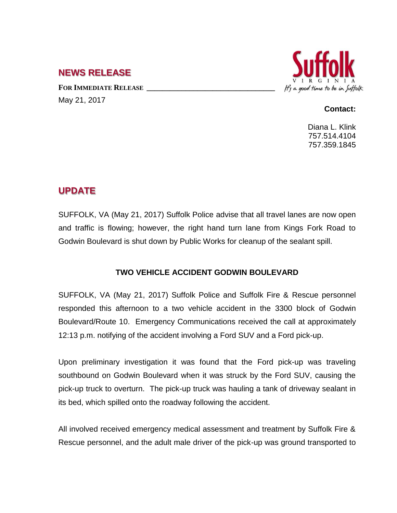## **NEWS RELEASE**

**FOR IMMEDIATE RELEASE \_\_\_\_\_\_\_\_\_\_\_\_\_\_\_\_\_\_\_\_\_\_\_\_\_\_\_\_\_\_\_\_\_** May 21, 2017



## **Contact:**

Diana L. Klink 757.514.4104 757.359.1845

## **UPDATE**

SUFFOLK, VA (May 21, 2017) Suffolk Police advise that all travel lanes are now open and traffic is flowing; however, the right hand turn lane from Kings Fork Road to Godwin Boulevard is shut down by Public Works for cleanup of the sealant spill.

## **TWO VEHICLE ACCIDENT GODWIN BOULEVARD**

SUFFOLK, VA (May 21, 2017) Suffolk Police and Suffolk Fire & Rescue personnel responded this afternoon to a two vehicle accident in the 3300 block of Godwin Boulevard/Route 10. Emergency Communications received the call at approximately 12:13 p.m. notifying of the accident involving a Ford SUV and a Ford pick-up.

Upon preliminary investigation it was found that the Ford pick-up was traveling southbound on Godwin Boulevard when it was struck by the Ford SUV, causing the pick-up truck to overturn. The pick-up truck was hauling a tank of driveway sealant in its bed, which spilled onto the roadway following the accident.

All involved received emergency medical assessment and treatment by Suffolk Fire & Rescue personnel, and the adult male driver of the pick-up was ground transported to